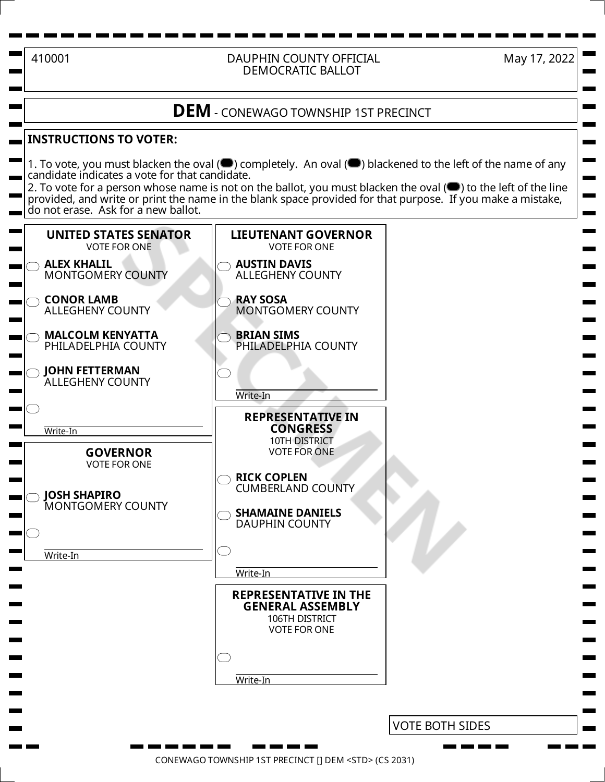## 410001 DAUPHIN COUNTY OFFICIAL DEMOCRATIC BALLOT

May 17, 2022



VOTE BOTH SIDES